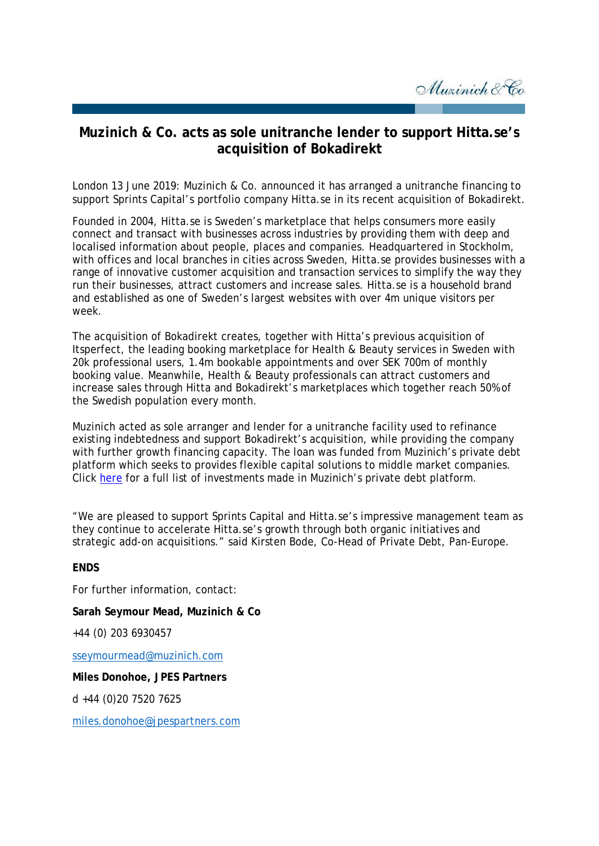Muzinich & Co

## **Muzinich & Co. acts as sole unitranche lender to support Hitta.se***'s*  **acquisition of Bokadirekt**

London 13 June 2019: Muzinich & Co. announced it has arranged a unitranche financing to support Sprints Capital's portfolio company Hitta.se in its recent acquisition of Bokadirekt.

Founded in 2004, Hitta.se is Sweden's marketplace that helps consumers more easily connect and transact with businesses across industries by providing them with deep and localised information about people, places and companies. Headquartered in Stockholm, with offices and local branches in cities across Sweden, Hitta.se provides businesses with a range of innovative customer acquisition and transaction services to simplify the way they run their businesses, attract customers and increase sales. Hitta.se is a household brand and established as one of Sweden's largest websites with over 4m unique visitors per week.

The acquisition of Bokadirekt creates, together with Hitta's previous acquisition of Itsperfect, the leading booking marketplace for Health & Beauty services in Sweden with 20k professional users, 1.4m bookable appointments and over SEK 700m of monthly booking value. Meanwhile, Health & Beauty professionals can attract customers and increase sales through Hitta and Bokadirekt's marketplaces which together reach 50% of the Swedish population every month.

Muzinich acted as sole arranger and lender for a unitranche facility used to refinance existing indebtedness and support Bokadirekt's acquisition, while providing the company with further growth financing capacity. The loan was funded from Muzinich's private debt platform which seeks to provides flexible capital solutions to middle market companies. Click [here](https://www.muzinichprivatedebt.com/investments/) for a full list of investments made in Muzinich's private debt platform.

"We are pleased to support Sprints Capital and Hitta.se's impressive management team as they continue to accelerate Hitta.se's growth through both organic initiatives and strategic add-on acquisitions." said Kirsten Bode, Co-Head of Private Debt, Pan-Europe.

## **ENDS**

For further information, contact:

**Sarah Seymour Mead, Muzinich & Co**

+44 (0) 203 6930457

[sseymourmead@muzinich.com](mailto:sseymourmead@muzinich.com)

**Miles Donohoe, JPES Partners** 

d +44 (0)20 7520 7625

[miles.donohoe@jpespartners.com](mailto:miles.donohoe@jpespartners.com)